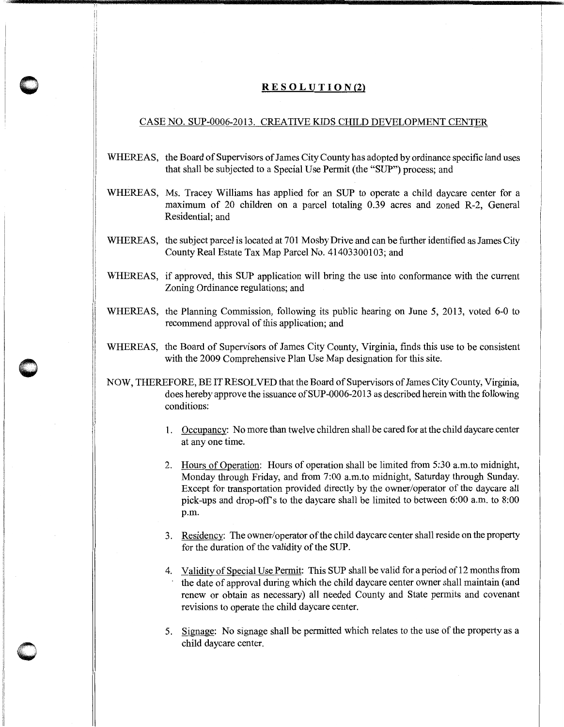## $R E S O L U T I O N (2)$

## CASE NO. SUP-0006-2013. CREATIVE KIDS CHILD DEVELOPMENT CENTER

- WHEREAS, the Board of Supervisors of James City County has adopted by ordinance specific land uses that shall be subjected to a Special Use Permit (the "SUP") process; and
- WHEREAS, Ms. Tracey Williams has applied for an SUP to operate a child daycare center for a maximum of 20 children on a parcel totaling 0.39 acres and zoned R-2, General Residential; and
- WHEREAS, the subject parcel is located at 701 Mosby Drive and can be further identified as James City County Real Estate Tax Map Parcel No. 41403300103; and
- WHEREAS, if approved, this SUP application will bring the use into conformance with the current Zoning Ordinance regulations; and
- <sup>11</sup>WHEREAS, the Planning Commission, following its public hearing on June 5, 2013, voted 6-0 to recommend approval of this application; and
- WHEREAS, the Board of Supervisors of James City County, Virginia, finds this use to be consistent with the 2009 Comprehensive Plan Use Map designation for this site.

 $\bullet$  $\bigcap$   $\mathbf{I}$ i i

1 1

 $\bigcirc$ 

- NOW, THEREFORE, BE IT RESOLVED that the Board of Supervisors of James City County, Virginia, does hereby approve the issuance of SUP-0006-2013 as described herein with the following conditions:
	- 1. Occupancy: No more than twelve children shall be cared for at the child daycare center at any one time.
	- 2. Hours of Operation: Hours of operation shall be limited from 5:30 a.m. to midnight, Monday through Friday, and from 7:00 a.m. to midnight, Saturday through Sunday. Except for transportation provided directly by the owner/operator of the daycare all pick-ups and drop-offs to the daycare shall be limited to between 6:00 a.m. to 8:00 p.m.
	- 3. Residency: The owner/operator of the child daycare center shall reside on the property for the duration of the validity of the SUP.
	- 4. Validity of Special Use Permit: This SUP shall be valid for a period of 12 months from the date of approval during which the child daycare center owner shall maintain (and renew or obtain as necessary) all needed County and State permits and covenant revisions to operate the child daycare center.
	- 5. Signage: No signage shall be permitted which relates to the use of the property as a child daycare center.